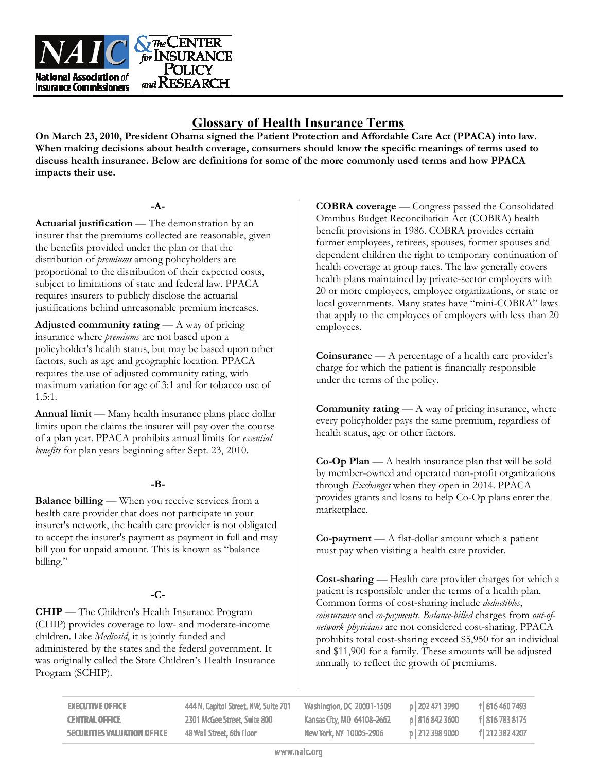

# **Glossary of Health Insurance Terms**

**On March 23, 2010, President Obama signed the Patient Protection and Affordable Care Act (PPACA) into law. When making decisions about health coverage, consumers should know the specific meanings of terms used to discuss health insurance. Below are definitions for some of the more commonly used terms and how PPACA impacts their use.** 

### **-A-**

**Actuarial justification** — The demonstration by an insurer that the premiums collected are reasonable, given the benefits provided under the plan or that the distribution of *premiums* among policyholders are proportional to the distribution of their expected costs, subject to limitations of state and federal law. PPACA requires insurers to publicly disclose the actuarial justifications behind unreasonable premium increases.

**Adjusted community rating** — A way of pricing insurance where *premiums* are not based upon a policyholder's health status, but may be based upon other factors, such as age and geographic location. PPACA requires the use of adjusted community rating, with maximum variation for age of 3:1 and for tobacco use of 1.5:1.

**Annual limit** — Many health insurance plans place dollar limits upon the claims the insurer will pay over the course of a plan year. PPACA prohibits annual limits for *essential benefits* for plan years beginning after Sept. 23, 2010.

### **-B-**

**Balance billing** — When you receive services from a health care provider that does not participate in your insurer's network, the health care provider is not obligated to accept the insurer's payment as payment in full and may bill you for unpaid amount. This is known as "balance billing."

## **-C-**

**CHIP** — The Children's Health Insurance Program (CHIP) provides coverage to low- and moderate-income children. Like *Medicaid*, it is jointly funded and administered by the states and the federal government. It was originally called the State Children's Health Insurance Program (SCHIP).

**COBRA coverage** — Congress passed the Consolidated Omnibus Budget Reconciliation Act (COBRA) health benefit provisions in 1986. COBRA provides certain former employees, retirees, spouses, former spouses and dependent children the right to temporary continuation of health coverage at group rates. The law generally covers health plans maintained by private-sector employers with 20 or more employees, employee organizations, or state or local governments. Many states have "mini-COBRA" laws that apply to the employees of employers with less than 20 employees.

**Coinsuranc**e — A percentage of a health care provider's charge for which the patient is financially responsible under the terms of the policy.

**Community rating** — A way of pricing insurance, where every policyholder pays the same premium, regardless of health status, age or other factors.

**Co-Op Plan** — A health insurance plan that will be sold by member-owned and operated non-profit organizations through *Exchanges* when they open in 2014. PPACA provides grants and loans to help Co-Op plans enter the marketplace.

**Co-payment** — A flat-dollar amount which a patient must pay when visiting a health care provider.

**Cost-sharing** — Health care provider charges for which a patient is responsible under the terms of a health plan. Common forms of cost-sharing include *deductibles*, *coinsurance* and *co-payments*. *Balance-billed* charges from *out-ofnetwork physicians* are not considered cost-sharing. PPACA prohibits total cost-sharing exceed \$5,950 for an individual and \$11,900 for a family. These amounts will be adjusted annually to reflect the growth of premiums.

| <b>EXECUTIVE OFFICE</b>            | 444 N. Capitol Street, NW, Suite 701 | Washington, DC 20001-1509  | $p$   202 471 3990 | f 816 460 7493 |
|------------------------------------|--------------------------------------|----------------------------|--------------------|----------------|
| <b>CENTRAL OFFICE</b>              | 2301 McGee Street, Suite 800         | Kansas City, MO 64108-2662 | p   816 842 3600   | f 816 783 8175 |
| <b>SECURITIES VALUATION OFFICE</b> | 48 Wall Street, 6th Floor            | New York, NY 10005-2906    | DI 212 398 9000    | f 212 382 4207 |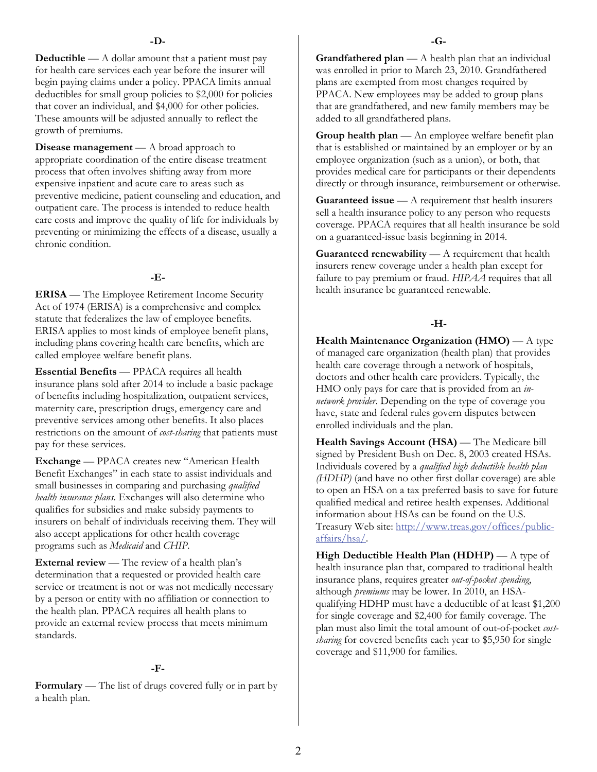**Deductible** — A dollar amount that a patient must pay for health care services each year before the insurer will begin paying claims under a policy. PPACA limits annual deductibles for small group policies to \$2,000 for policies that cover an individual, and \$4,000 for other policies. These amounts will be adjusted annually to reflect the growth of premiums.

**Disease management** — A broad approach to appropriate coordination of the entire disease treatment process that often involves shifting away from more expensive inpatient and acute care to areas such as preventive medicine, patient counseling and education, and outpatient care. The process is intended to reduce health care costs and improve the quality of life for individuals by preventing or minimizing the effects of a disease, usually a chronic condition.

### **-E-**

**ERISA** — The Employee Retirement Income Security Act of 1974 (ERISA) is a comprehensive and complex statute that federalizes the law of employee benefits. ERISA applies to most kinds of employee benefit plans, including plans covering health care benefits, which are called employee welfare benefit plans.

**Essential Benefits** — PPACA requires all health insurance plans sold after 2014 to include a basic package of benefits including hospitalization, outpatient services, maternity care, prescription drugs, emergency care and preventive services among other benefits. It also places restrictions on the amount of *cost-sharing* that patients must pay for these services.

**Exchange** — PPACA creates new "American Health Benefit Exchanges" in each state to assist individuals and small businesses in comparing and purchasing *qualified health insurance plans*. Exchanges will also determine who qualifies for subsidies and make subsidy payments to insurers on behalf of individuals receiving them. They will also accept applications for other health coverage programs such as *Medicaid* and *CHIP*.

**External review** — The review of a health plan's determination that a requested or provided health care service or treatment is not or was not medically necessary by a person or entity with no affiliation or connection to the health plan. PPACA requires all health plans to provide an external review process that meets minimum standards.

#### **-F-**

**Formulary** — The list of drugs covered fully or in part by a health plan.

**Grandfathered plan** — A health plan that an individual was enrolled in prior to March 23, 2010. Grandfathered plans are exempted from most changes required by PPACA. New employees may be added to group plans that are grandfathered, and new family members may be added to all grandfathered plans.

**Group health plan** — An employee welfare benefit plan that is established or maintained by an employer or by an employee organization (such as a union), or both, that provides medical care for participants or their dependents directly or through insurance, reimbursement or otherwise.

**Guaranteed issue** — A requirement that health insurers sell a health insurance policy to any person who requests coverage. PPACA requires that all health insurance be sold on a guaranteed-issue basis beginning in 2014.

**Guaranteed renewability** — A requirement that health insurers renew coverage under a health plan except for failure to pay premium or fraud. *HIPAA* requires that all health insurance be guaranteed renewable.

### **-H-**

**Health Maintenance Organization (HMO)** — A type of managed care organization (health plan) that provides health care coverage through a network of hospitals, doctors and other health care providers. Typically, the HMO only pays for care that is provided from an *innetwork provider*. Depending on the type of coverage you have, state and federal rules govern disputes between enrolled individuals and the plan.

**Health Savings Account (HSA)** — The Medicare bill signed by President Bush on Dec. 8, 2003 created HSAs. Individuals covered by a *qualified high deductible health plan (HDHP)* (and have no other first dollar coverage) are able to open an HSA on a tax preferred basis to save for future qualified medical and retiree health expenses. Additional information about HSAs can be found on the U.S. Treasury Web site: [http://www.treas.gov/offices/public](http://www.treas.gov/offices/public-affairs/hsa/)[affairs/hsa/](http://www.treas.gov/offices/public-affairs/hsa/).

**High Deductible Health Plan (HDHP)** — A type of health insurance plan that, compared to traditional health insurance plans, requires greater *out-of-pocket spending*, although *premiums* may be lower. In 2010, an HSAqualifying HDHP must have a deductible of at least \$1,200 for single coverage and \$2,400 for family coverage. The plan must also limit the total amount of out-of-pocket *costsharing* for covered benefits each year to \$5,950 for single coverage and \$11,900 for families.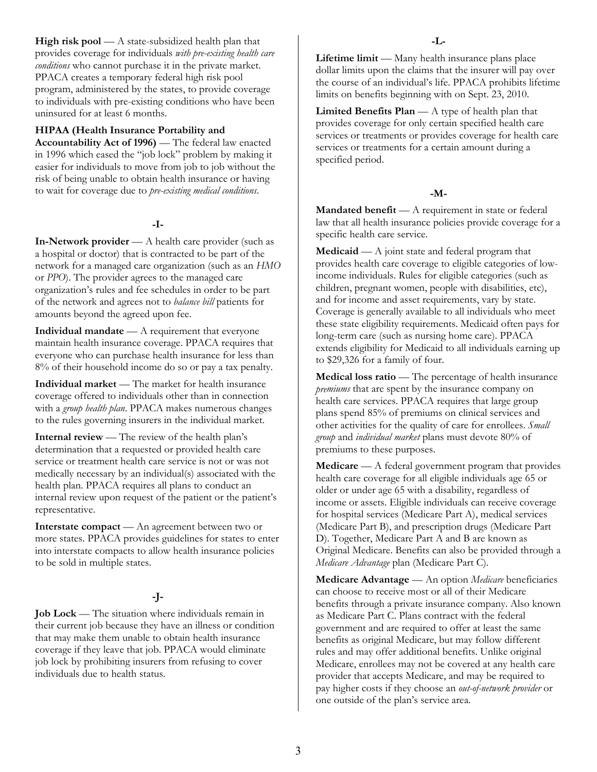**High risk pool** — A state-subsidized health plan that provides coverage for individuals *with pre-existing health care conditions* who cannot purchase it in the private market. PPACA creates a temporary federal high risk pool program, administered by the states, to provide coverage to individuals with pre-existing conditions who have been uninsured for at least 6 months.

#### **HIPAA (Health Insurance Portability and**

**Accountability Act of 1996)** — The federal law enacted in 1996 which eased the "job lock" problem by making it easier for individuals to move from job to job without the risk of being unable to obtain health insurance or having to wait for coverage due to *pre-existing medical conditions*.

### **-I-**

**In-Network provider** — A health care provider (such as a hospital or doctor) that is contracted to be part of the network for a managed care organization (such as an *HMO* or *PPO*). The provider agrees to the managed care organization's rules and fee schedules in order to be part of the network and agrees not to *balance bill* patients for amounts beyond the agreed upon fee.

**Individual mandate** — A requirement that everyone maintain health insurance coverage. PPACA requires that everyone who can purchase health insurance for less than 8% of their household income do so or pay a tax penalty.

**Individual market** — The market for health insurance coverage offered to individuals other than in connection with a *group health plan*. PPACA makes numerous changes to the rules governing insurers in the individual market.

**Internal review** — The review of the health plan's determination that a requested or provided health care service or treatment health care service is not or was not medically necessary by an individual(s) associated with the health plan. PPACA requires all plans to conduct an internal review upon request of the patient or the patient's representative.

**Interstate compact** — An agreement between two or more states. PPACA provides guidelines for states to enter into interstate compacts to allow health insurance policies to be sold in multiple states.

### **-J-**

**Job Lock** — The situation where individuals remain in their current job because they have an illness or condition that may make them unable to obtain health insurance coverage if they leave that job. PPACA would eliminate job lock by prohibiting insurers from refusing to cover individuals due to health status.

**Lifetime limit** — Many health insurance plans place dollar limits upon the claims that the insurer will pay over the course of an individual's life. PPACA prohibits lifetime limits on benefits beginning with on Sept. 23, 2010.

**Limited Benefits Plan** — A type of health plan that provides coverage for only certain specified health care services or treatments or provides coverage for health care services or treatments for a certain amount during a specified period.

### **-M-**

**Mandated benefit** — A requirement in state or federal law that all health insurance policies provide coverage for a specific health care service.

**Medicaid** — A joint state and federal program that provides health care coverage to eligible categories of lowincome individuals. Rules for eligible categories (such as children, pregnant women, people with disabilities, etc), and for income and asset requirements, vary by state. Coverage is generally available to all individuals who meet these state eligibility requirements. Medicaid often pays for long-term care (such as nursing home care). PPACA extends eligibility for Medicaid to all individuals earning up to \$29,326 for a family of four.

**Medical loss ratio** — The percentage of health insurance *premiums* that are spent by the insurance company on health care services. PPACA requires that large group plans spend 85% of premiums on clinical services and other activities for the quality of care for enrollees. *Small group* and *individual market* plans must devote 80% of premiums to these purposes.

**Medicare** — A federal government program that provides health care coverage for all eligible individuals age 65 or older or under age 65 with a disability, regardless of income or assets. Eligible individuals can receive coverage for hospital services (Medicare Part A), medical services (Medicare Part B), and prescription drugs (Medicare Part D). Together, Medicare Part A and B are known as Original Medicare. Benefits can also be provided through a *Medicare Advantage* plan (Medicare Part C).

**Medicare Advantage** — An option *Medicare* beneficiaries can choose to receive most or all of their Medicare benefits through a private insurance company. Also known as Medicare Part C. Plans contract with the federal government and are required to offer at least the same benefits as original Medicare, but may follow different rules and may offer additional benefits. Unlike original Medicare, enrollees may not be covered at any health care provider that accepts Medicare, and may be required to pay higher costs if they choose an *out-of-network provider* or one outside of the plan's service area.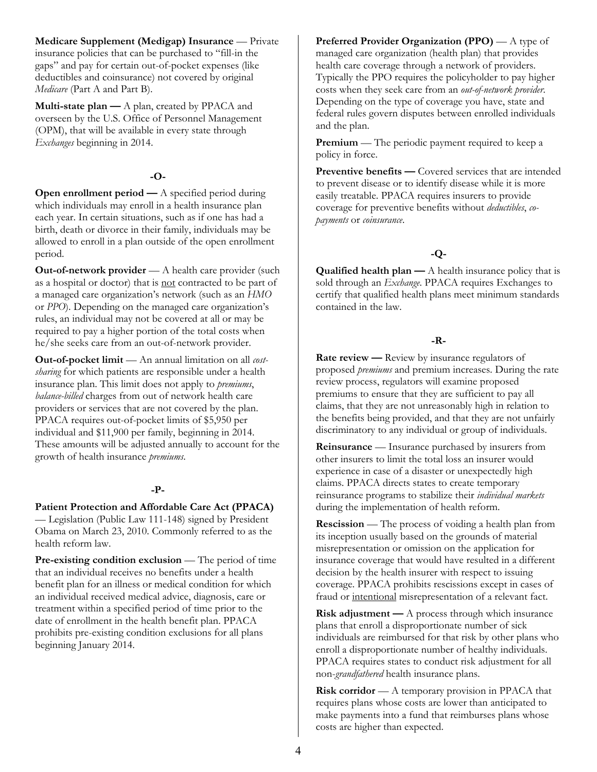**Medicare Supplement (Medigap) Insurance** — Private insurance policies that can be purchased to "fill-in the gaps" and pay for certain out-of-pocket expenses (like deductibles and coinsurance) not covered by original *Medicare* (Part A and Part B).

**Multi-state plan —** A plan, created by PPACA and overseen by the U.S. Office of Personnel Management (OPM), that will be available in every state through *Exchanges* beginning in 2014.

### **-O-**

**Open enrollment period — A specified period during** which individuals may enroll in a health insurance plan each year. In certain situations, such as if one has had a birth, death or divorce in their family, individuals may be allowed to enroll in a plan outside of the open enrollment period.

**Out-of-network provider** — A health care provider (such as a hospital or doctor) that is not contracted to be part of a managed care organization's network (such as an *HMO* or *PPO*). Depending on the managed care organization's rules, an individual may not be covered at all or may be required to pay a higher portion of the total costs when he/she seeks care from an out-of-network provider.

**Out-of-pocket limit** — An annual limitation on all *costsharing* for which patients are responsible under a health insurance plan. This limit does not apply to *premiums*, *balance-billed* charges from out of network health care providers or services that are not covered by the plan. PPACA requires out-of-pocket limits of \$5,950 per individual and \$11,900 per family, beginning in 2014. These amounts will be adjusted annually to account for the growth of health insurance *premiums*.

#### **-P-**

### **Patient Protection and Affordable Care Act (PPACA)**

— Legislation (Public Law 111-148) signed by President Obama on March 23, 2010. Commonly referred to as the health reform law.

**Pre-existing condition exclusion** — The period of time that an individual receives no benefits under a health benefit plan for an illness or medical condition for which an individual received medical advice, diagnosis, care or treatment within a specified period of time prior to the date of enrollment in the health benefit plan. PPACA prohibits pre-existing condition exclusions for all plans beginning January 2014.

**Preferred Provider Organization (PPO)** — A type of managed care organization (health plan) that provides health care coverage through a network of providers. Typically the PPO requires the policyholder to pay higher costs when they seek care from an *out-of-network provider*. Depending on the type of coverage you have, state and federal rules govern disputes between enrolled individuals and the plan.

**Premium** — The periodic payment required to keep a policy in force.

**Preventive benefits — Covered services that are intended** to prevent disease or to identify disease while it is more easily treatable. PPACA requires insurers to provide coverage for preventive benefits without *deductibles*, *copayments* or *coinsurance*.

### **-Q-**

**Qualified health plan —** A health insurance policy that is sold through an *Exchange*. PPACA requires Exchanges to certify that qualified health plans meet minimum standards contained in the law.

### **-R-**

**Rate review — Review by insurance regulators of** proposed *premiums* and premium increases. During the rate review process, regulators will examine proposed premiums to ensure that they are sufficient to pay all claims, that they are not unreasonably high in relation to the benefits being provided, and that they are not unfairly discriminatory to any individual or group of individuals.

**Reinsurance** — Insurance purchased by insurers from other insurers to limit the total loss an insurer would experience in case of a disaster or unexpectedly high claims. PPACA directs states to create temporary reinsurance programs to stabilize their *individual markets* during the implementation of health reform.

**Rescission** — The process of voiding a health plan from its inception usually based on the grounds of material misrepresentation or omission on the application for insurance coverage that would have resulted in a different decision by the health insurer with respect to issuing coverage. PPACA prohibits rescissions except in cases of fraud or intentional misrepresentation of a relevant fact.

**Risk adjustment —** A process through which insurance plans that enroll a disproportionate number of sick individuals are reimbursed for that risk by other plans who enroll a disproportionate number of healthy individuals. PPACA requires states to conduct risk adjustment for all non-*grandfathered* health insurance plans.

**Risk corridor** — A temporary provision in PPACA that requires plans whose costs are lower than anticipated to make payments into a fund that reimburses plans whose costs are higher than expected.